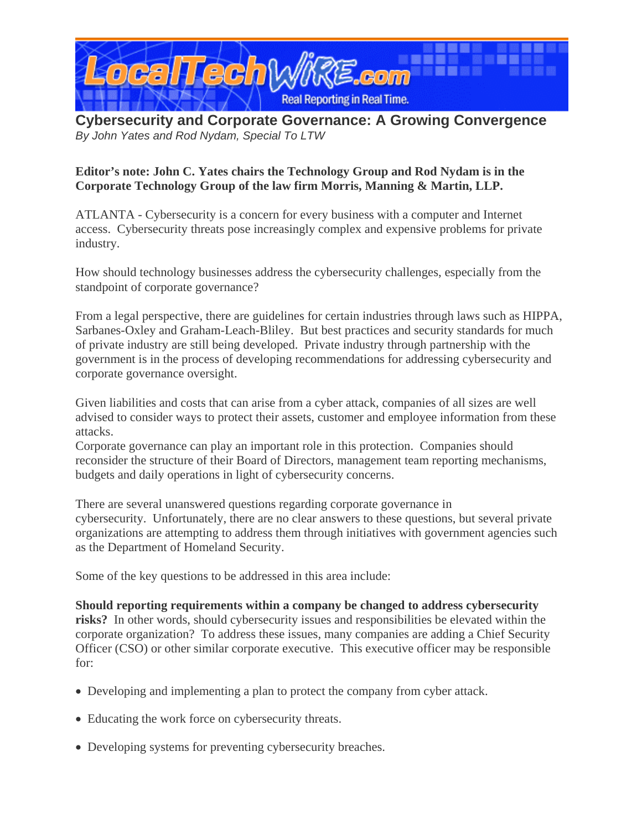

**Cybersecurity and Corporate Governance: A Growing Convergence**  *By John Yates and Rod Nydam, Special To LTW* 

## **Editor's note: John C. Yates chairs the Technology Group and Rod Nydam is in the Corporate Technology Group of the law firm Morris, Manning & Martin, LLP.**

ATLANTA - Cybersecurity is a concern for every business with a computer and Internet access. Cybersecurity threats pose increasingly complex and expensive problems for private industry.

How should technology businesses address the cybersecurity challenges, especially from the standpoint of corporate governance?

From a legal perspective, there are guidelines for certain industries through laws such as HIPPA, Sarbanes-Oxley and Graham-Leach-Bliley. But best practices and security standards for much of private industry are still being developed. Private industry through partnership with the government is in the process of developing recommendations for addressing cybersecurity and corporate governance oversight.

Given liabilities and costs that can arise from a cyber attack, companies of all sizes are well advised to consider ways to protect their assets, customer and employee information from these attacks.

Corporate governance can play an important role in this protection. Companies should reconsider the structure of their Board of Directors, management team reporting mechanisms, budgets and daily operations in light of cybersecurity concerns.

There are several unanswered questions regarding corporate governance in cybersecurity. Unfortunately, there are no clear answers to these questions, but several private organizations are attempting to address them through initiatives with government agencies such as the Department of Homeland Security.

Some of the key questions to be addressed in this area include:

**Should reporting requirements within a company be changed to address cybersecurity risks?** In other words, should cybersecurity issues and responsibilities be elevated within the corporate organization? To address these issues, many companies are adding a Chief Security Officer (CSO) or other similar corporate executive. This executive officer may be responsible for:

- Developing and implementing a plan to protect the company from cyber attack.
- Educating the work force on cybersecurity threats.
- Developing systems for preventing cybersecurity breaches.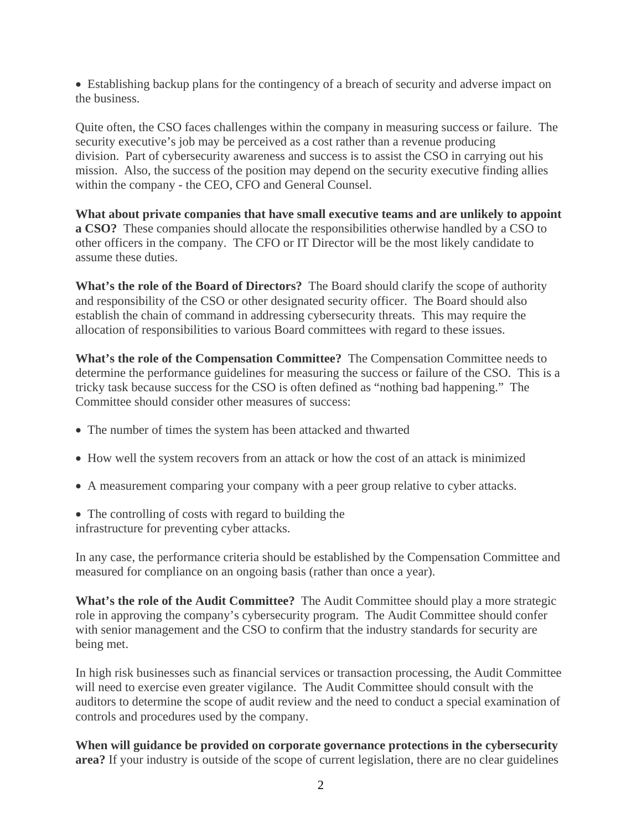• Establishing backup plans for the contingency of a breach of security and adverse impact on the business.

Quite often, the CSO faces challenges within the company in measuring success or failure. The security executive's job may be perceived as a cost rather than a revenue producing division. Part of cybersecurity awareness and success is to assist the CSO in carrying out his mission. Also, the success of the position may depend on the security executive finding allies within the company - the CEO, CFO and General Counsel.

**What about private companies that have small executive teams and are unlikely to appoint a CSO?** These companies should allocate the responsibilities otherwise handled by a CSO to other officers in the company. The CFO or IT Director will be the most likely candidate to assume these duties.

**What's the role of the Board of Directors?** The Board should clarify the scope of authority and responsibility of the CSO or other designated security officer. The Board should also establish the chain of command in addressing cybersecurity threats. This may require the allocation of responsibilities to various Board committees with regard to these issues.

**What's the role of the Compensation Committee?** The Compensation Committee needs to determine the performance guidelines for measuring the success or failure of the CSO. This is a tricky task because success for the CSO is often defined as "nothing bad happening." The Committee should consider other measures of success:

- The number of times the system has been attacked and thwarted
- How well the system recovers from an attack or how the cost of an attack is minimized
- A measurement comparing your company with a peer group relative to cyber attacks.
- The controlling of costs with regard to building the
- infrastructure for preventing cyber attacks.

In any case, the performance criteria should be established by the Compensation Committee and measured for compliance on an ongoing basis (rather than once a year).

**What's the role of the Audit Committee?** The Audit Committee should play a more strategic role in approving the company's cybersecurity program. The Audit Committee should confer with senior management and the CSO to confirm that the industry standards for security are being met.

In high risk businesses such as financial services or transaction processing, the Audit Committee will need to exercise even greater vigilance. The Audit Committee should consult with the auditors to determine the scope of audit review and the need to conduct a special examination of controls and procedures used by the company.

**When will guidance be provided on corporate governance protections in the cybersecurity area?** If your industry is outside of the scope of current legislation, there are no clear guidelines